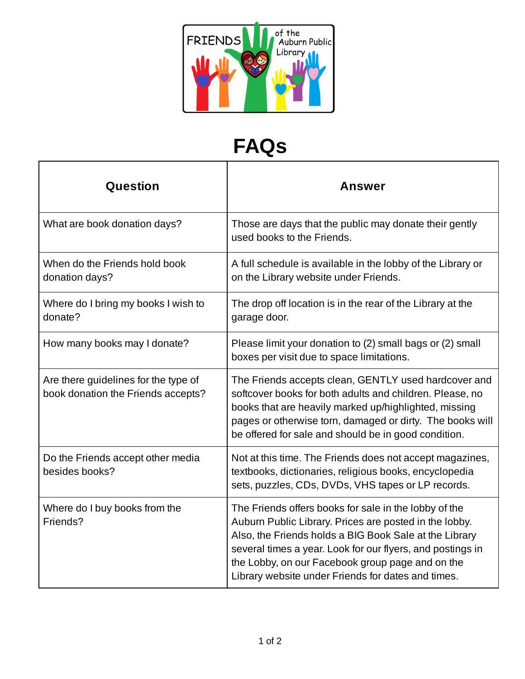

## **FAQs**

| Question                                                                   | <b>Answer</b>                                                                                                                                                                                                                                                                                                                                     |
|----------------------------------------------------------------------------|---------------------------------------------------------------------------------------------------------------------------------------------------------------------------------------------------------------------------------------------------------------------------------------------------------------------------------------------------|
| What are book donation days?                                               | Those are days that the public may donate their gently<br>used books to the Friends.                                                                                                                                                                                                                                                              |
| When do the Friends hold book<br>donation days?                            | A full schedule is available in the lobby of the Library or<br>on the Library website under Friends.                                                                                                                                                                                                                                              |
| Where do I bring my books I wish to<br>donate?                             | The drop off location is in the rear of the Library at the<br>garage door.                                                                                                                                                                                                                                                                        |
| How many books may I donate?                                               | Please limit your donation to (2) small bags or (2) small<br>boxes per visit due to space limitations.                                                                                                                                                                                                                                            |
| Are there guidelines for the type of<br>book donation the Friends accepts? | The Friends accepts clean, GENTLY used hardcover and<br>softcover books for both adults and children. Please, no<br>books that are heavily marked up/highlighted, missing<br>pages or otherwise torn, damaged or dirty. The books will<br>be offered for sale and should be in good condition.                                                    |
| Do the Friends accept other media<br>besides books?                        | Not at this time. The Friends does not accept magazines,<br>textbooks, dictionaries, religious books, encyclopedia<br>sets, puzzles, CDs, DVDs, VHS tapes or LP records.                                                                                                                                                                          |
| Where do I buy books from the<br>Friends?                                  | The Friends offers books for sale in the lobby of the<br>Auburn Public Library. Prices are posted in the lobby.<br>Also, the Friends holds a BIG Book Sale at the Library<br>several times a year. Look for our flyers, and postings in<br>the Lobby, on our Facebook group page and on the<br>Library website under Friends for dates and times. |